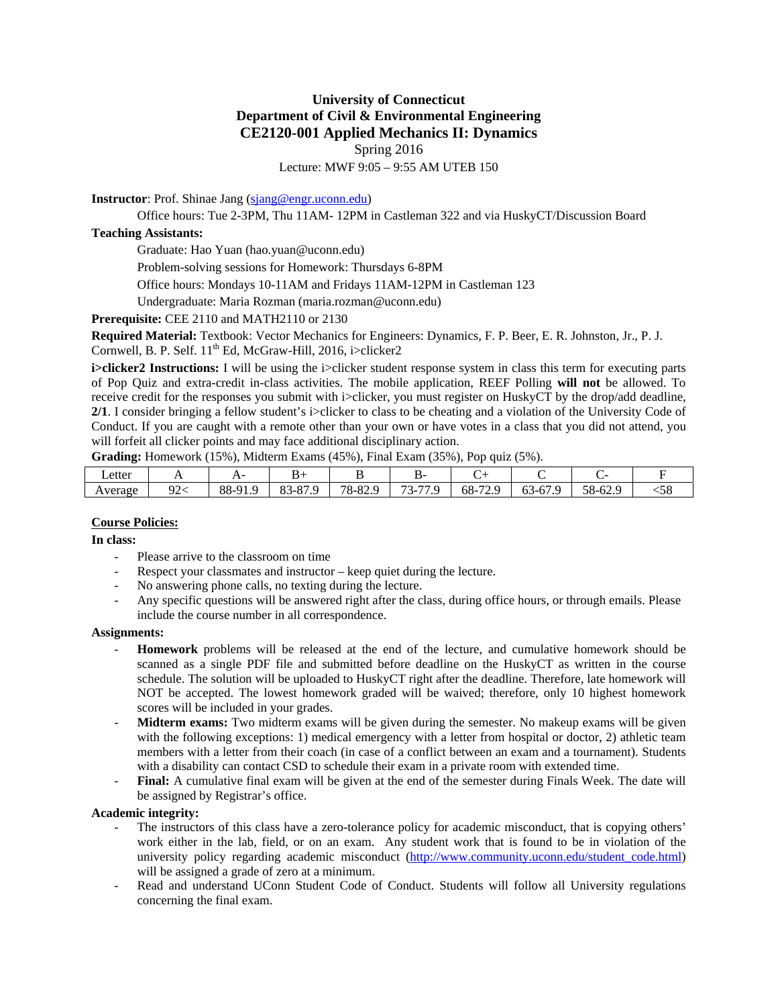# **University of Connecticut Department of Civil & Environmental Engineering CE2120-001 Applied Mechanics II: Dynamics**  Spring 2016

Lecture: MWF 9:05 – 9:55 AM UTEB 150

**Instructor**: Prof. Shinae Jang (sjang@engr.uconn.edu)

Office hours: Tue 2-3PM, Thu 11AM- 12PM in Castleman 322 and via HuskyCT/Discussion Board

## **Teaching Assistants:**

Graduate: Hao Yuan (hao.yuan@uconn.edu)

Problem-solving sessions for Homework: Thursdays 6-8PM

Office hours: Mondays 10-11AM and Fridays 11AM-12PM in Castleman 123

Undergraduate: Maria Rozman (maria.rozman@uconn.edu)

**Prerequisite:** CEE 2110 and MATH2110 or 2130

**Required Material:** Textbook: Vector Mechanics for Engineers: Dynamics, F. P. Beer, E. R. Johnston, Jr., P. J. Cornwell, B. P. Self. 11<sup>th</sup> Ed, McGraw-Hill, 2016, i>clicker2

**i>clicker2 Instructions:** I will be using the i>clicker student response system in class this term for executing parts of Pop Quiz and extra-credit in-class activities. The mobile application, REEF Polling **will not** be allowed. To receive credit for the responses you submit with i>clicker, you must register on HuskyCT by the drop/add deadline, **2/1**. I consider bringing a fellow student's i>clicker to class to be cheating and a violation of the University Code of Conduct. If you are caught with a remote other than your own or have votes in a class that you did not attend, you will forfeit all clicker points and may face additional disciplinary action.

**Grading:** Homework (15%), Midterm Exams (45%), Final Exam (35%), Pop quiz (5%).

| ∟etter  |                    | л.         | ינ                                     |                    | --                                                 |                            |                                      |                          |                           |
|---------|--------------------|------------|----------------------------------------|--------------------|----------------------------------------------------|----------------------------|--------------------------------------|--------------------------|---------------------------|
| Average | $\sim$<br><u>_</u> | 88-91<br>. | .87 Q<br>O <sub>2</sub><br>י ס-ר<br>ບບ | ാറ റ<br>$78 - 82.$ | $\sim$<br>$\overline{\phantom{0}}$<br>u<br>┒-<br>້ | ٢Ω<br>72 Q<br>-oo<br>ر ہے۔ | $-$<br>دیم<br>$\Omega$<br>$03 - 6$ . | $58 -$<br>62.0<br>N-04.∠ | $\sim$ $\sim$<br>-<br>0ر. |

## **Course Policies:**

**In class:** 

- Please arrive to the classroom on time
- Respect your classmates and instructor keep quiet during the lecture.
- No answering phone calls, no texting during the lecture.
- Any specific questions will be answered right after the class, during office hours, or through emails. Please include the course number in all correspondence.

#### **Assignments:**

- **Homework** problems will be released at the end of the lecture, and cumulative homework should be scanned as a single PDF file and submitted before deadline on the HuskyCT as written in the course schedule. The solution will be uploaded to HuskyCT right after the deadline. Therefore, late homework will NOT be accepted. The lowest homework graded will be waived; therefore, only 10 highest homework scores will be included in your grades.
- **Midterm exams:** Two midterm exams will be given during the semester. No makeup exams will be given with the following exceptions: 1) medical emergency with a letter from hospital or doctor, 2) athletic team members with a letter from their coach (in case of a conflict between an exam and a tournament). Students with a disability can contact CSD to schedule their exam in a private room with extended time.
- **Final:** A cumulative final exam will be given at the end of the semester during Finals Week. The date will be assigned by Registrar's office.

#### **Academic integrity:**

- The instructors of this class have a zero-tolerance policy for academic misconduct, that is copying others' work either in the lab, field, or on an exam. Any student work that is found to be in violation of the university policy regarding academic misconduct (http://www.community.uconn.edu/student code.html) will be assigned a grade of zero at a minimum.
- Read and understand UConn Student Code of Conduct. Students will follow all University regulations concerning the final exam.